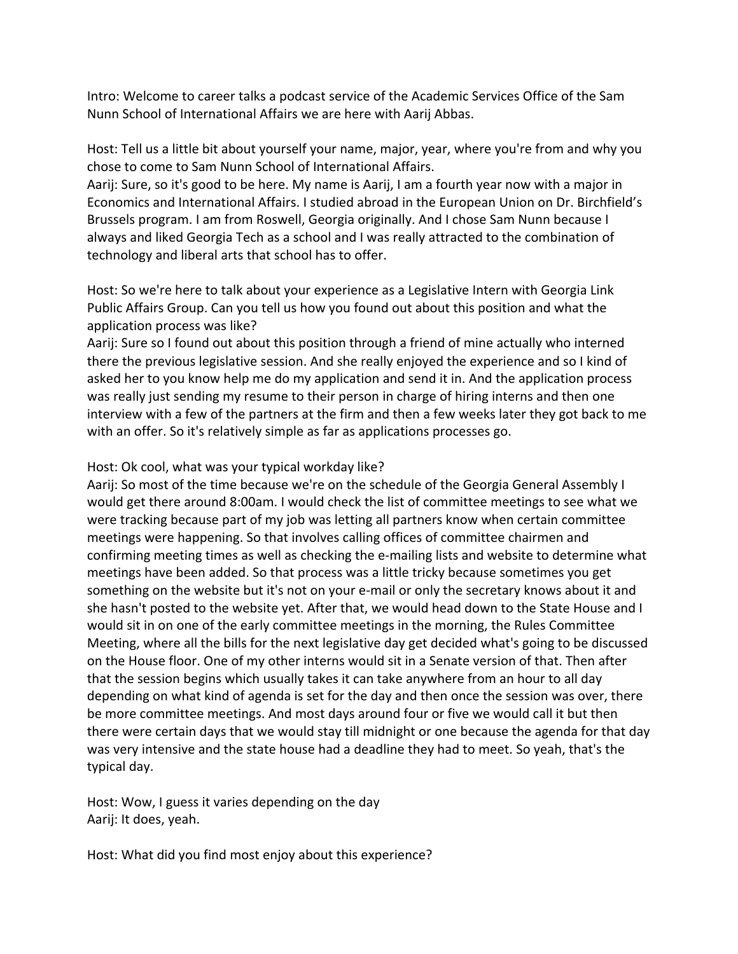Intro: Welcome to career talks a podcast service of the Academic Services Office of the Sam Nunn School of International Affairs we are here with Aarij Abbas.

Host: Tell us a little bit about yourself your name, major, year, where you're from and why you chose to come to Sam Nunn School of International Affairs.

Aarij: Sure, so it's good to be here. My name is Aarij, I am a fourth year now with a major in Economics and International Affairs. I studied abroad in the European Union on Dr. Birchfield's Brussels program. I am from Roswell, Georgia originally. And I chose Sam Nunn because I always and liked Georgia Tech as a school and I was really attracted to the combination of technology and liberal arts that school has to offer.

Host: So we're here to talk about your experience as a Legislative Intern with Georgia Link Public Affairs Group. Can you tell us how you found out about this position and what the application process was like?

Aarij: Sure so I found out about this position through a friend of mine actually who interned there the previous legislative session. And she really enjoyed the experience and so I kind of asked her to you know help me do my application and send it in. And the application process was really just sending my resume to their person in charge of hiring interns and then one interview with a few of the partners at the firm and then a few weeks later they got back to me with an offer. So it's relatively simple as far as applications processes go.

## Host: Ok cool, what was your typical workday like?

Aarij: So most of the time because we're on the schedule of the Georgia General Assembly I would get there around 8:00am. I would check the list of committee meetings to see what we were tracking because part of my job was letting all partners know when certain committee meetings were happening. So that involves calling offices of committee chairmen and confirming meeting times as well as checking the e-mailing lists and website to determine what meetings have been added. So that process was a little tricky because sometimes you get something on the website but it's not on your e-mail or only the secretary knows about it and she hasn't posted to the website yet. After that, we would head down to the State House and I would sit in on one of the early committee meetings in the morning, the Rules Committee Meeting, where all the bills for the next legislative day get decided what's going to be discussed on the House floor. One of my other interns would sit in a Senate version of that. Then after that the session begins which usually takes it can take anywhere from an hour to all day depending on what kind of agenda is set for the day and then once the session was over, there be more committee meetings. And most days around four or five we would call it but then there were certain days that we would stay till midnight or one because the agenda for that day was very intensive and the state house had a deadline they had to meet. So yeah, that's the typical day.

Host: Wow, I guess it varies depending on the day Aarij: It does, yeah.

Host: What did you find most enjoy about this experience?